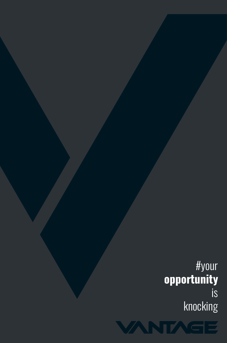*#your* **opportunity** *is knocking*

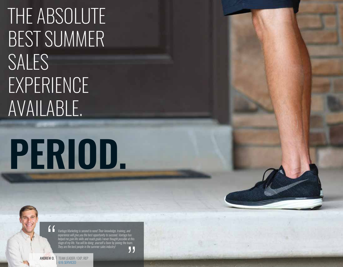## THE ABSOLUTE BEST SUMMER SALES EXPERIENCE AVAILABLE.

# **PERIOD.**

Vantage Marketing is second to none! Their knowledge, training, and experience will give you the best opportunity to succeed. Vantage has helped me gain life skills and reach goals I never thought possible at this stage of my life. You will be doing yourself a favor by joining the team. They are the best people in the summer sales industry!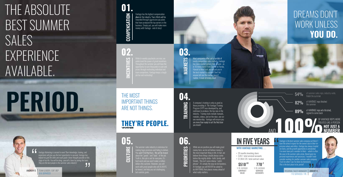**04.**

**02. 03.** INCENTIVES

 $\Xi$ 

MARKETS

PRIORITIES While we are positive you will make great PRIORITIES money here, we do not believe money is the most important thing in life. In fact, we believe three things should always come before the mighty dollar--faith, family, and friends. This isn't some cheesy "catchphrase". It's simply the way we do business. At Vantage you will NEVER be asked to do ANYTHING that places money ahead of what really matters.

TRAINING

LTURE

Vantage has the highest compensation<br>plans in the industry. Your efforts will be rewarded through aggressive pay plans that have produced the top earners in the business. Simply put, you will make more money with Vantage - end of story!

> Most companies offer just a handful of overly competitive sales markets. Vantage has more market options than anyone - as in 10 times more! From Seattle to Florida, Hawaii to New York, we will put you in the best market to succeed! Don't let anyone tell you the market doesn't

**05. 05. 05. 06. 05. 06. 06. 06. 06. 06. 06. 06. 06. 06. 06. 06. 06. 06. 06. 06. 06. 06. 06. 06. 06. 06. 06. 06. 06. 06. 06. 06. 06. 06. 06. 06. 06.** THE MOST IMPORTANT THINGS ARE NOT THINGS.

A company's training is only as good as those providing it. The Vantage Training Program (VTP) was developed by, and continues to produce, the top reps in the industry. Training tools include manuals, modules, videos, and on-the-door, one-onone mentorship. Vantage will ensure you are more than ready to sell the first door you knock!

Vantage Marketing is second to none! Their knowledge, training, and experience will give you the best opportunity to succeed. Vantage has helped me gain life skills and reach goals I never thought possible at this stage of my life. You will be doing yourself a favor by joining the team. They are the best people in the summer sales industry! 55

 $\blacksquare$  Vantage is the best summer sales company out there. have the utmost respect for the owners due to their im pressive values and ethics. Vantage has always treated me fairly, and the growth opportunity is unmatched. I've never been just a number to them  $-$  which is ofte the case in the summer sales arena. Based upon my personal experiences and successes, I wouldn't even consider working for another summer sales company. Trust me when I say I've done my homework. This is the best place to be, period!

*5 YR. AVERAGE CONTRACT VALUE 5 YR. AVERAGE SERVICED ACCOUNTS*  $$510^{.03}$  770<sup>.2</sup>



The summer-sales industry is notorious for making huge promises and failing to deliver. about the "goods" and "bads" of the job. Truth is, this job is not for everyone. It's hard work and you won't make a million dollars this summer. However, you will work with great people who will ALWAYS be honest, and help you set challenging, but realistic goals.

### **THEY'RE PEOPLE.**

# **PERIOD.**

## THE ABSOLUTE BEST SUMMER SALES EXPERIENCE AVAILABLE.

# **01. COMPENSATION**

OF VANTAGE REPS WERE TREATED LIKE A PERSON NOT JUST A NUMBER

**VANDE** 

#### IN FIVE YEARS

#### *WITH VANTAGE MARKETING . . .*

- *20 months knocking doors*
- *3,851 total serviced accounts*

*\$1,964,126 total contract value*

770 SERVICED / YR. REGIONAL SALES MANAGER *JEREMY R.*

### DREAMS DON'T WORK UNLESS **YOU DO.**

**54%** of summer sales reps, industry-wide,

82% of VANTAGE reps finished

89% of VANTAGE reps who finished,<br>signed to come back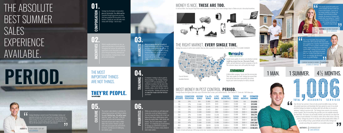**01.**

**04.**

**02. 03.** INCENTIVES

MARKETS



TRAINING

PRIORITIES

**PRI** 

COMPENSATION Vantage has the highest compensation<br>plans in the industry. Your efforts will be rewarded through aggressive pay plans that have produced the top earners in the business. Simply put, you will make more money with Vantage - end of story!

> While we are positive you will make great money here, we do not believe money is he most important thing in life. In fact, we believe three things should always come before the mighty dollar--faith, family, and friends. This isn't some cheesy "catchphrase". It's simply the way we do business. At Vantage you will NEVER be asked to do ANYTHING that places money ahead of what really matters.

verly competitive sales markets. Vantage has more market options than anyone - as in 10 times more! From Seattle to Florida, Hawaii to New York, we will put you in the best market to succeed! Don't let anyone tell you the market doesn't<br>matter, it most definitelv does!

lost companies offer just a handful of

, sammer saids madedly is noterloas for<br>king huge promises and failing to delive<br>u won't find that here. We will be honest out the "goods" and "bads" of the job. Truth is, this job is not for everyone. It's l work and you won't make a milli llars this summer. However, you will work with great people who will ALWAYS be honest, and help you set challenging, but realistic goals.

 $\mathbf{\Xi}% _{CS}^{(r,\sigma)}$ 

 $\approx$ 

A company's training is only as good as those providing it. The Vantage Training Program (VTP) was developed by, and continues to produce, the top reps in the industry. Training tools include manuals, modules, videos, and on-the-door, one-onone mentorship. Vantage will ensure you

are more than ready to sell the first door

**05. 05. 05. 05. 05. 06. 05. 06. 06. 06. 06. 06. 06. 06. 06. 06. 06. 06. 06. 06. 06. 06. 06. 06. 06. 06. 06. 06. 06. 06. 06. 06. 06. 06. 06. 06. 06.** THE MOST IMPORTANT THINGS ARE NOT THINGS.

Vantage Marketing is second to none! Their knowledge, training, and experience will give you the best opportunity to succeed. Vantage has helped me gain life skills and reach goals I never thought possible at this stage of my life. You will be doing yourself a favor by joining the team. They are the best people in the summer sales industry! П. you knock!

isight means quality-of-service and attention to detail.<br>isight has proven to be one of the most efficient. stable, and well-liked pest control companies in the US. The customer always wins with quality like Insight.

#### TERMINIK

## **THEY'RE PEOPLE.**

# **PERIOD.**

## THE ABSOLUTE BEST SUMMER SALES EXPERIENCE AVAILABLE.

**Was it hard? Incredibly.** Was it exhausting nbelievably. Did it push me? More than  $\bar{l}$  co have imagined. Was it worth it? NO QUESTION IN MY MIND! If I had to go back, I wouldn't change a thing. Vantage was the key to so much of my current reality. Vantage, in a very real way, changed my life. If you'd like to be comfortable, don't do this. If you'd like to be successful, quit worrying, sign the stupid paper, and go with Vantage.

**CURRENT BUSINESS OWNER | CLAYTON B** 5 YEARS AT VANTAGE

*MATTHEW S.* EXPERIENCED REP 1,006 SERVICED

A billion dollar company. You've seen the commercials. Their name speaks for itself. Vantage has earned their trust and has been been representing the nations largest pest-control company for nearly a decade.

100 125 150 175 200 250 300 350 400 450  $500 +$ 25% 27% 29% 31% 35% 37% 40% 43% 47% 50% 50% *SERVICED ACCOUNTS COMMISSION PERCENTAGE*

| <b>ESTIMATED</b><br><b>EARNINGS</b> | <b>TRIP</b><br><b>INCENTIVE</b> | TUITION<br><b>BONUS</b> | <b>SUMMER</b><br><b>INCENCTIVES</b> | <b>A-PAY</b><br><b>BONUS</b> | 2 for 4%<br><b>BONUS</b> | HOUSING<br><b>BONUS</b> |
|-------------------------------------|---------------------------------|-------------------------|-------------------------------------|------------------------------|--------------------------|-------------------------|
| \$16,850                            | N/A                             | \$1,000                 | $$1.000 +/-$                        | <b>S495</b>                  | \$1.980                  | N/A                     |
| \$23,600                            | N/A                             | \$1.000                 | $$1.000 +/-$                        | \$619                        | \$2.475                  | \$1.800                 |
| \$29.046                            | N/A                             | \$1,000                 | $$1.000 +/-$                        | \$743                        | \$2,970                  | \$1.800                 |
| \$35,586                            | $$600 +/-$                      | \$1.000                 | $$1.000 +/-$                        | \$867                        | \$3.465                  | \$1.800                 |
| \$44,000                            | $$600 +/-$                      | \$1,000                 | $$1.000 +/-$                        | <b>\$990</b>                 | \$3,960                  | \$1.800                 |
| \$56,376                            | $$600 +/-$                      | \$1.000                 | $$1.000 +/-$                        | \$1.238                      | \$4.950                  | \$1.800                 |
| <b>S71.225</b>                      | $$600 +/-$                      | \$1.000                 | $$1.000 +/-$                        | S <sub>1</sub> .485          | \$5,940                  | \$1,800                 |
| \$87,561                            | $$600 +/-$                      | \$1.000                 | $$1.000 +/-$                        | \$1.733                      | \$6,930                  | \$1.800                 |
| \$107,360                           | $$600 +/-$                      | \$1,000                 | $$1.000 +/-$                        | \$1.980                      | \$7.920                  | \$1,800                 |
| \$126,913                           | $$600 +/-$                      | \$1.000                 | $$1.000 +/-$                        | \$2.228                      | \$8.910                  | \$1.800                 |
| \$140,525                           | $$600 +/-$                      | \$1,000                 | $$1.000 +/-$                        | \$2.475                      | \$9,900                  | \$1.800                 |
|                                     |                                 |                         |                                     |                              |                          |                         |

Payscale is retroactive and based upon a \$495 average contract value. Experienced representatives' payscale may be obtained from a Vantage Sales Manager

**I** *I* had actually signed with another pest control company, but wasn't really sure of how to best prepare. I sat in one of the training meetings at Vantage, and although I had committed to another pany, the answers at Vantage were exactly what I was looking for. I couldn't be more thankful I made the decision I did. Vantage will always do whatever it takes to help!



66. Over the last two summers I have not only earned incredible money, but have also gained experience and knowledge that have opened my eyes to my actual potential.Vantage has helped me develop skills that will allow me to excel at whatever I choose to pursue in life. The Vantage team consists of an amazing group of people. They do everything they possibly can to be available whenever you need them. The owners are personally involved, and sincerely care about the success of each individual. In an industry where all too often money is the top priority, Vantage has proven to me they care about people before dollars. If  $\mathbb{R}$  you are willing to bring a great attitude and work ethic, Vantage will  $\bullet$  provide everything else needed for an incredible experience.

*1 MAN.*

### 1 SUMMER. 4<sup>1</sup>/<sub>2</sub> MONTHS.

#### MONEY IS NICE. **THESE ARE TOO.**

It's hot out there. You may just forget how much money you're earning. That's when Vantage steps in. Below are just a few actual incentives.

#### THE RIGHT MARKET. **EVERY SINGLE TIME.**

#### MOST MONEY IN PEST CONTROL. **PERIOD.**

Vantage has access to sell in more markets than any other competitor in the industry. This isn't a big deal. IT'S A GAME CHANGER.



#### **Quess Quest** pest solutions

Vantage houses the highest paid sales reps in the entire door-to-door, pest control industry. Don't believe it? Come ask. We'll show you.

#### *KATRINA T.* FIRST YEAR REP 221 SERVICED

Current Markets

Available Markets